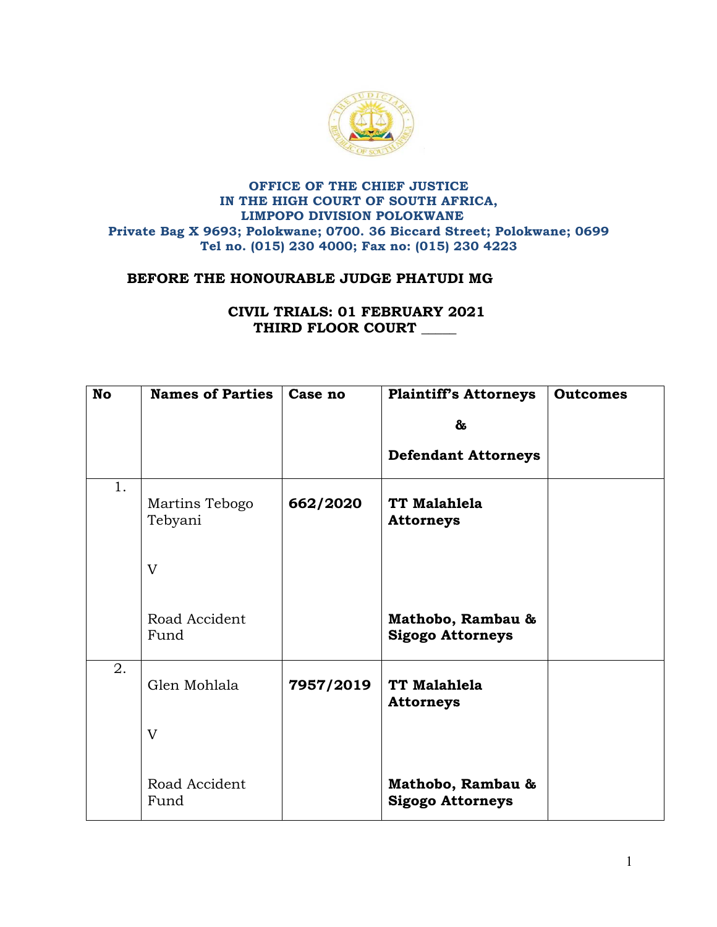

## **OFFICE OF THE CHIEF JUSTICE IN THE HIGH COURT OF SOUTH AFRICA, LIMPOPO DIVISION POLOKWANE Private Bag X 9693; Polokwane; 0700. 36 Biccard Street; Polokwane; 0699 Tel no. (015) 230 4000; Fax no: (015) 230 4223**

## **BEFORE THE HONOURABLE JUDGE PHATUDI MG**

## **CIVIL TRIALS: 01 FEBRUARY 2021 THIRD FLOOR COURT \_\_\_\_\_**

| <b>No</b> | <b>Names of Parties</b>   | Case no   | <b>Plaintiff's Attorneys</b>                 | <b>Outcomes</b> |
|-----------|---------------------------|-----------|----------------------------------------------|-----------------|
|           |                           |           | &                                            |                 |
|           |                           |           | <b>Defendant Attorneys</b>                   |                 |
| 1.        | Martins Tebogo<br>Tebyani | 662/2020  | TT Malahlela<br><b>Attorneys</b>             |                 |
|           | V                         |           |                                              |                 |
|           | Road Accident<br>Fund     |           | Mathobo, Rambau &<br><b>Sigogo Attorneys</b> |                 |
| 2.        | Glen Mohlala              | 7957/2019 | TT Malahlela<br><b>Attorneys</b>             |                 |
|           | $\overline{V}$            |           |                                              |                 |
|           | Road Accident<br>Fund     |           | Mathobo, Rambau &<br><b>Sigogo Attorneys</b> |                 |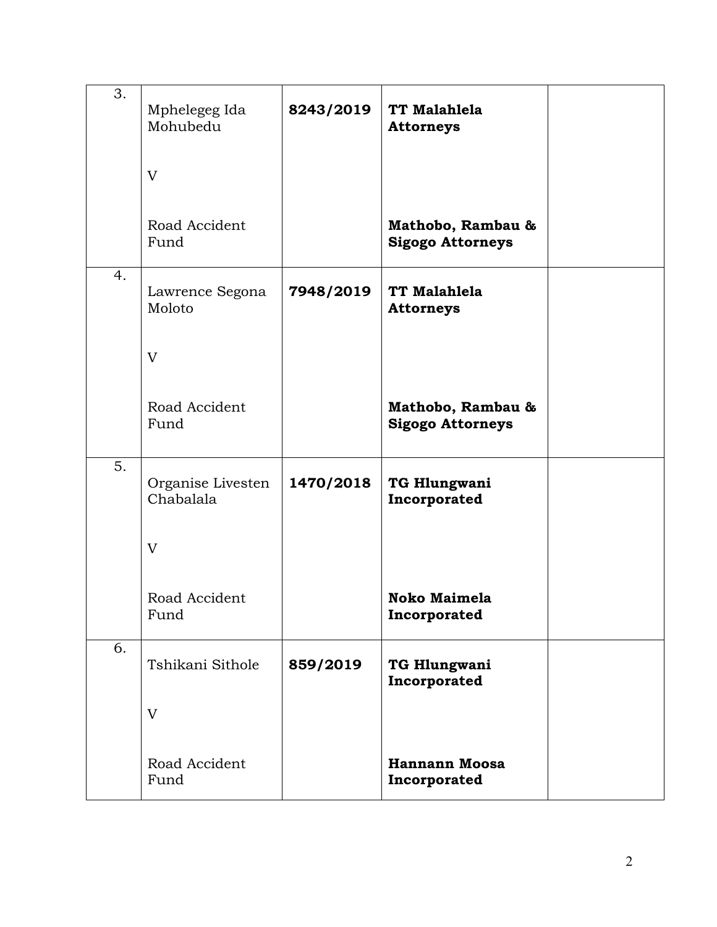| 3. | Mphelegeg Ida<br>Mohubedu      | 8243/2019 | TT Malahlela<br><b>Attorneys</b>             |  |
|----|--------------------------------|-----------|----------------------------------------------|--|
|    | V                              |           |                                              |  |
|    | Road Accident<br>Fund          |           | Mathobo, Rambau &<br><b>Sigogo Attorneys</b> |  |
| 4. | Lawrence Segona<br>Moloto      | 7948/2019 | TT Malahlela<br><b>Attorneys</b>             |  |
|    | V                              |           |                                              |  |
|    | Road Accident<br>Fund          |           | Mathobo, Rambau &<br><b>Sigogo Attorneys</b> |  |
| 5. | Organise Livesten<br>Chabalala | 1470/2018 | TG Hlungwani<br>Incorporated                 |  |
|    | V                              |           |                                              |  |
|    | Road Accident<br>Fund          |           | <b>Noko Maimela</b><br>Incorporated          |  |
| 6. | Tshikani Sithole               | 859/2019  | TG Hlungwani<br>Incorporated                 |  |
|    | V                              |           |                                              |  |
|    | Road Accident<br>Fund          |           | <b>Hannann Moosa</b><br>Incorporated         |  |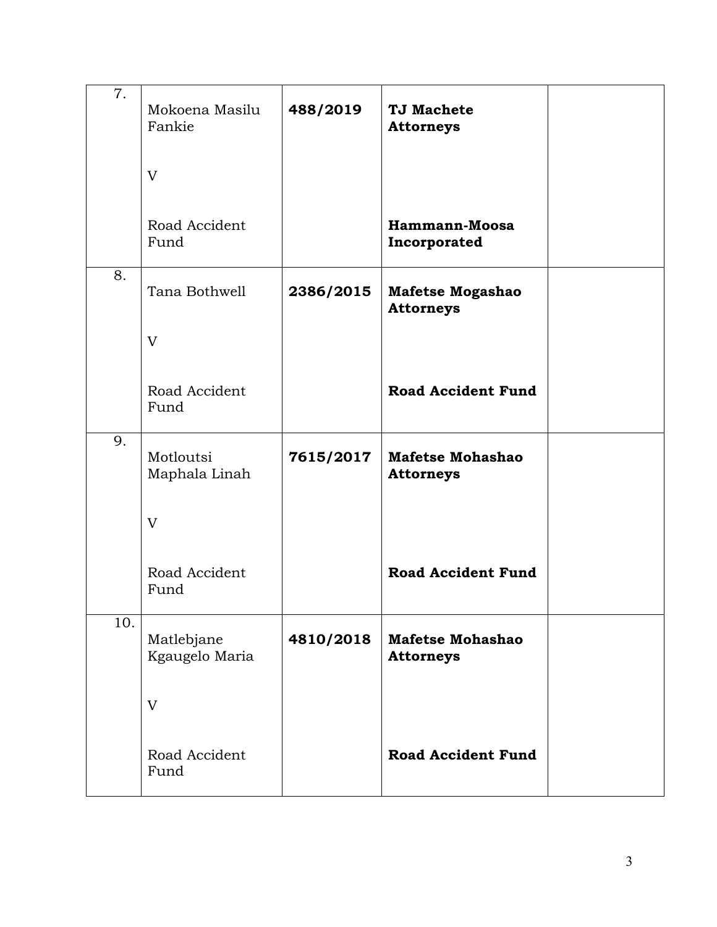| 7.  | Mokoena Masilu<br>Fankie     | 488/2019  | <b>TJ Machete</b><br><b>Attorneys</b>       |  |
|-----|------------------------------|-----------|---------------------------------------------|--|
|     | V                            |           |                                             |  |
|     | Road Accident<br>Fund        |           | Hammann-Moosa<br>Incorporated               |  |
| 8.  | Tana Bothwell                | 2386/2015 | Mafetse Mogashao<br><b>Attorneys</b>        |  |
|     | V                            |           |                                             |  |
|     | Road Accident<br>Fund        |           | <b>Road Accident Fund</b>                   |  |
| 9.  | Motloutsi<br>Maphala Linah   | 7615/2017 | <b>Mafetse Mohashao</b><br><b>Attorneys</b> |  |
|     | V                            |           |                                             |  |
|     | Road Accident<br>Fund        |           | <b>Road Accident Fund</b>                   |  |
| 10. | Matlebjane<br>Kgaugelo Maria | 4810/2018 | <b>Mafetse Mohashao</b><br><b>Attorneys</b> |  |
|     | V                            |           |                                             |  |
|     | Road Accident<br>Fund        |           | <b>Road Accident Fund</b>                   |  |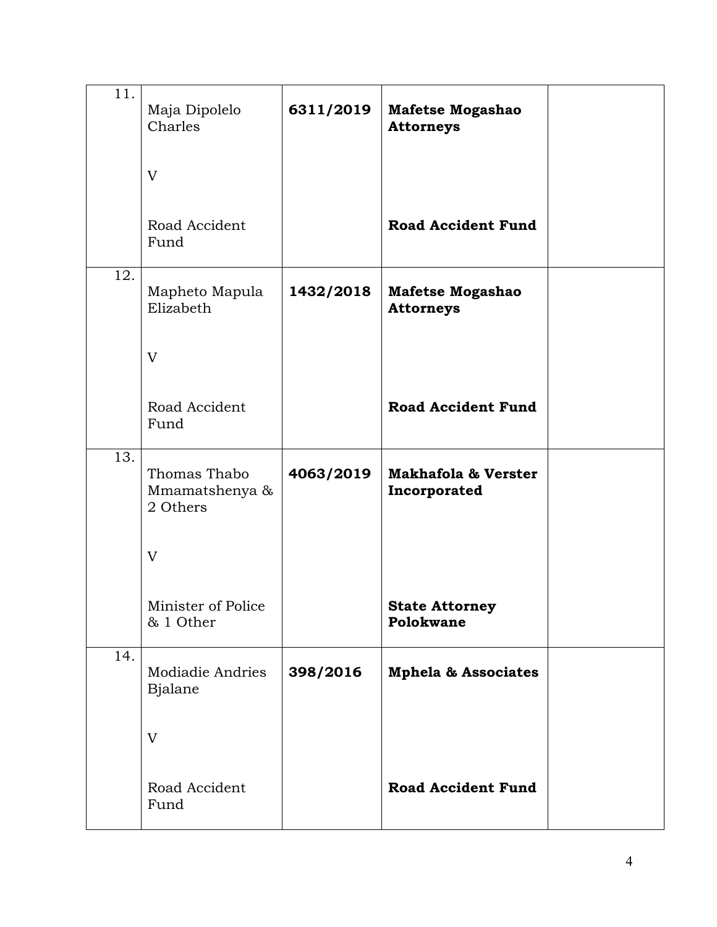| 11. | Maja Dipolelo<br>Charles                   | 6311/2019 | <b>Mafetse Mogashao</b><br><b>Attorneys</b>    |  |
|-----|--------------------------------------------|-----------|------------------------------------------------|--|
|     | V                                          |           |                                                |  |
|     | Road Accident<br>Fund                      |           | <b>Road Accident Fund</b>                      |  |
| 12. | Mapheto Mapula<br>Elizabeth                | 1432/2018 | <b>Mafetse Mogashao</b><br><b>Attorneys</b>    |  |
|     | V                                          |           |                                                |  |
|     | Road Accident<br>Fund                      |           | <b>Road Accident Fund</b>                      |  |
| 13. | Thomas Thabo<br>Mmamatshenya &<br>2 Others | 4063/2019 | <b>Makhafola &amp; Verster</b><br>Incorporated |  |
|     | V                                          |           |                                                |  |
|     | Minister of Police<br>& 1 Other            |           | <b>State Attorney</b><br>Polokwane             |  |
| 14. | Modiadie Andries<br>Bjalane                | 398/2016  | <b>Mphela &amp; Associates</b>                 |  |
|     | V                                          |           |                                                |  |
|     | Road Accident<br>Fund                      |           | <b>Road Accident Fund</b>                      |  |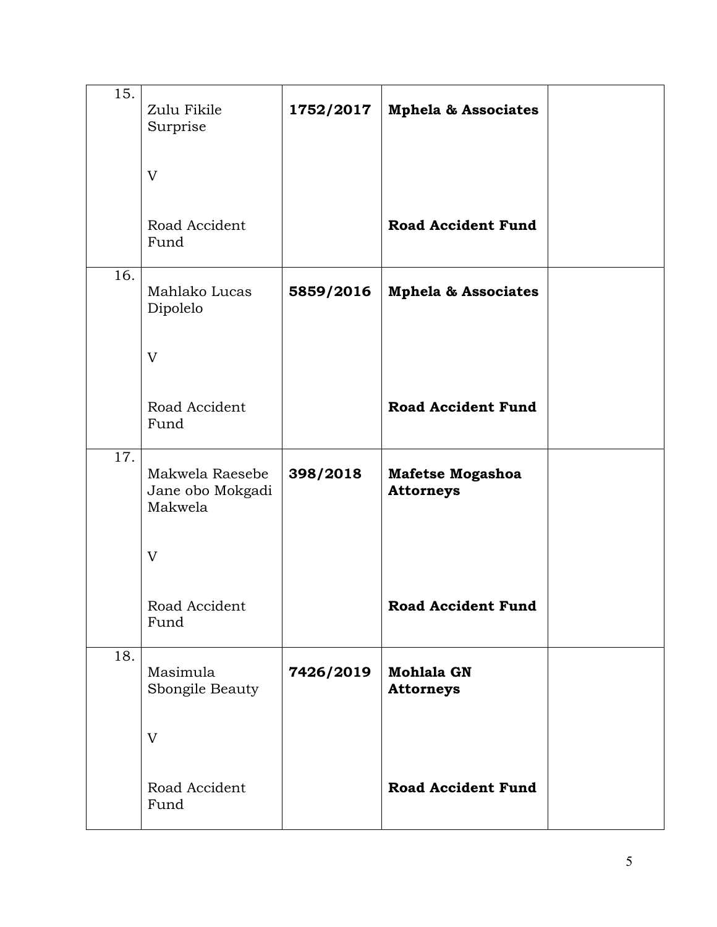| 15. | Zulu Fikile<br>Surprise                        | 1752/2017 | <b>Mphela &amp; Associates</b>              |  |
|-----|------------------------------------------------|-----------|---------------------------------------------|--|
|     | V                                              |           |                                             |  |
|     | Road Accident<br>Fund                          |           | <b>Road Accident Fund</b>                   |  |
| 16. | Mahlako Lucas<br>Dipolelo                      | 5859/2016 | <b>Mphela &amp; Associates</b>              |  |
|     | V                                              |           |                                             |  |
|     | Road Accident<br>Fund                          |           | <b>Road Accident Fund</b>                   |  |
| 17. | Makwela Raesebe<br>Jane obo Mokgadi<br>Makwela | 398/2018  | <b>Mafetse Mogashoa</b><br><b>Attorneys</b> |  |
|     | V                                              |           |                                             |  |
|     | Road Accident<br>Fund                          |           | <b>Road Accident Fund</b>                   |  |
| 18. | Masimula<br>Sbongile Beauty                    | 7426/2019 | <b>Mohlala GN</b><br><b>Attorneys</b>       |  |
|     | V                                              |           |                                             |  |
|     | Road Accident<br>Fund                          |           | <b>Road Accident Fund</b>                   |  |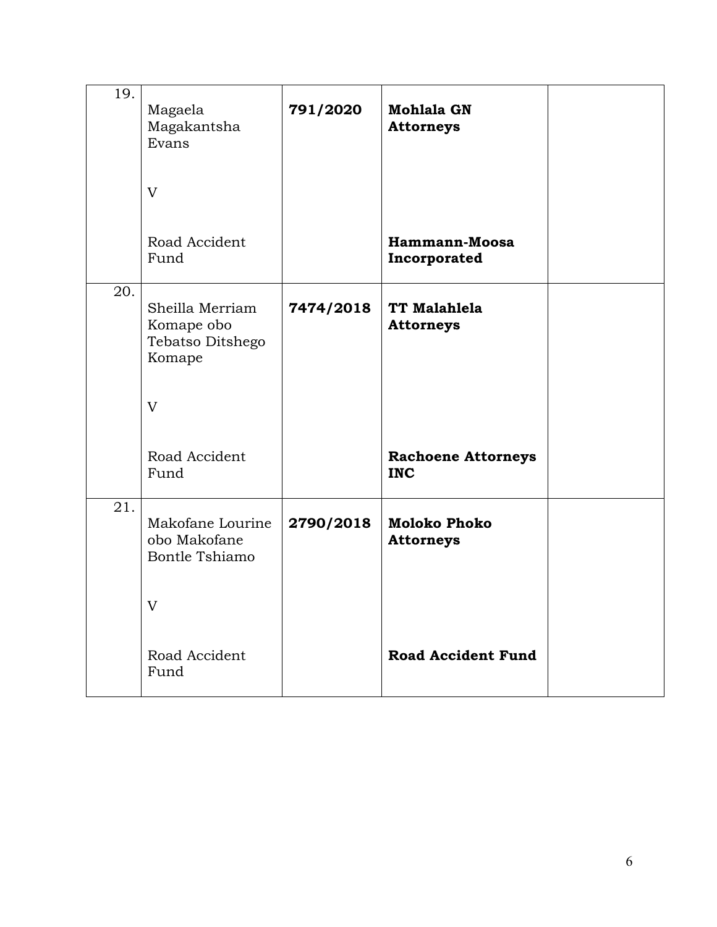| 19. | Magaela<br>Magakantsha<br>Evans                             | 791/2020  | <b>Mohlala GN</b><br><b>Attorneys</b>   |  |
|-----|-------------------------------------------------------------|-----------|-----------------------------------------|--|
|     | V                                                           |           |                                         |  |
|     | Road Accident<br>Fund                                       |           | Hammann-Moosa<br>Incorporated           |  |
| 20. | Sheilla Merriam<br>Komape obo<br>Tebatso Ditshego<br>Komape | 7474/2018 | TT Malahlela<br><b>Attorneys</b>        |  |
|     | V                                                           |           |                                         |  |
|     | Road Accident<br>Fund                                       |           | <b>Rachoene Attorneys</b><br><b>INC</b> |  |
| 21. | Makofane Lourine<br>obo Makofane<br>Bontle Tshiamo          | 2790/2018 | <b>Moloko Phoko</b><br><b>Attorneys</b> |  |
|     | V                                                           |           |                                         |  |
|     | Road Accident<br>Fund                                       |           | <b>Road Accident Fund</b>               |  |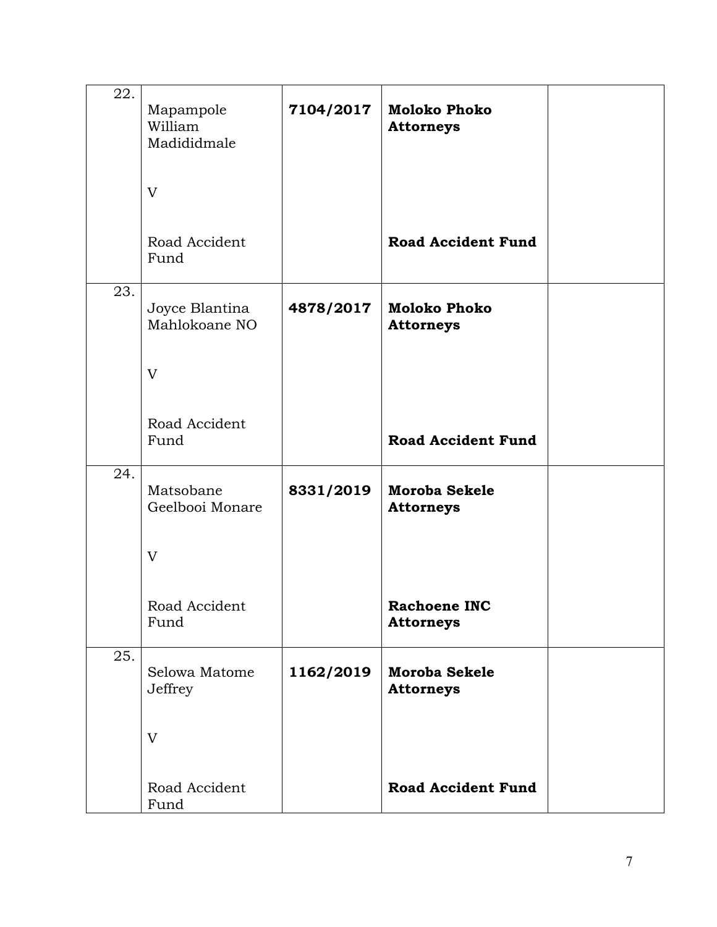| 22. | Mapampole<br>William<br>Madididmale | 7104/2017 | <b>Moloko Phoko</b><br><b>Attorneys</b>  |  |
|-----|-------------------------------------|-----------|------------------------------------------|--|
|     | V                                   |           |                                          |  |
|     | Road Accident<br>Fund               |           | <b>Road Accident Fund</b>                |  |
| 23. | Joyce Blantina<br>Mahlokoane NO     | 4878/2017 | <b>Moloko Phoko</b><br><b>Attorneys</b>  |  |
|     | V                                   |           |                                          |  |
|     | Road Accident<br>Fund               |           | <b>Road Accident Fund</b>                |  |
| 24. | Matsobane<br>Geelbooi Monare        | 8331/2019 | <b>Moroba Sekele</b><br><b>Attorneys</b> |  |
|     | V                                   |           |                                          |  |
|     | Road Accident<br>Fund               |           | <b>Rachoene INC</b><br><b>Attorneys</b>  |  |
| 25. | Selowa Matome<br>Jeffrey            | 1162/2019 | Moroba Sekele<br><b>Attorneys</b>        |  |
|     | V                                   |           |                                          |  |
|     | Road Accident<br>Fund               |           | <b>Road Accident Fund</b>                |  |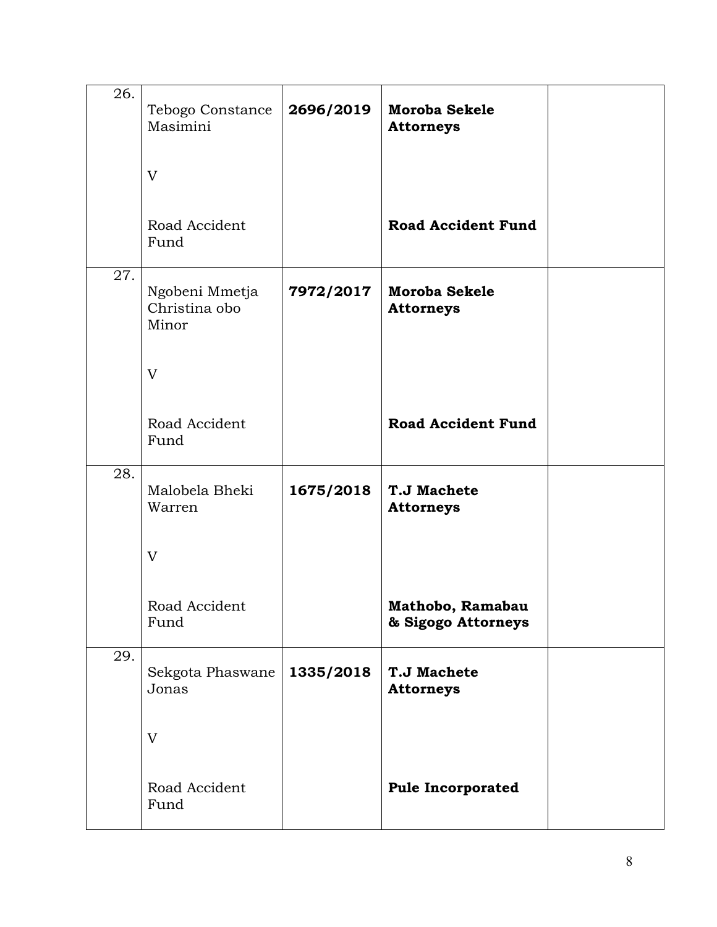| 26. | Tebogo Constance<br>Masimini             | 2696/2019 | <b>Moroba Sekele</b><br><b>Attorneys</b> |  |
|-----|------------------------------------------|-----------|------------------------------------------|--|
|     | V                                        |           |                                          |  |
|     | Road Accident<br>Fund                    |           | <b>Road Accident Fund</b>                |  |
| 27. | Ngobeni Mmetja<br>Christina obo<br>Minor | 7972/2017 | <b>Moroba Sekele</b><br><b>Attorneys</b> |  |
|     | V                                        |           |                                          |  |
|     | Road Accident<br>Fund                    |           | <b>Road Accident Fund</b>                |  |
| 28. | Malobela Bheki<br>Warren                 | 1675/2018 | <b>T.J Machete</b><br><b>Attorneys</b>   |  |
|     | V                                        |           |                                          |  |
|     | Road Accident<br>Fund                    |           | Mathobo, Ramabau<br>& Sigogo Attorneys   |  |
| 29. | Sekgota Phaswane<br>Jonas                | 1335/2018 | <b>T.J Machete</b><br><b>Attorneys</b>   |  |
|     | V                                        |           |                                          |  |
|     | Road Accident<br>Fund                    |           | <b>Pule Incorporated</b>                 |  |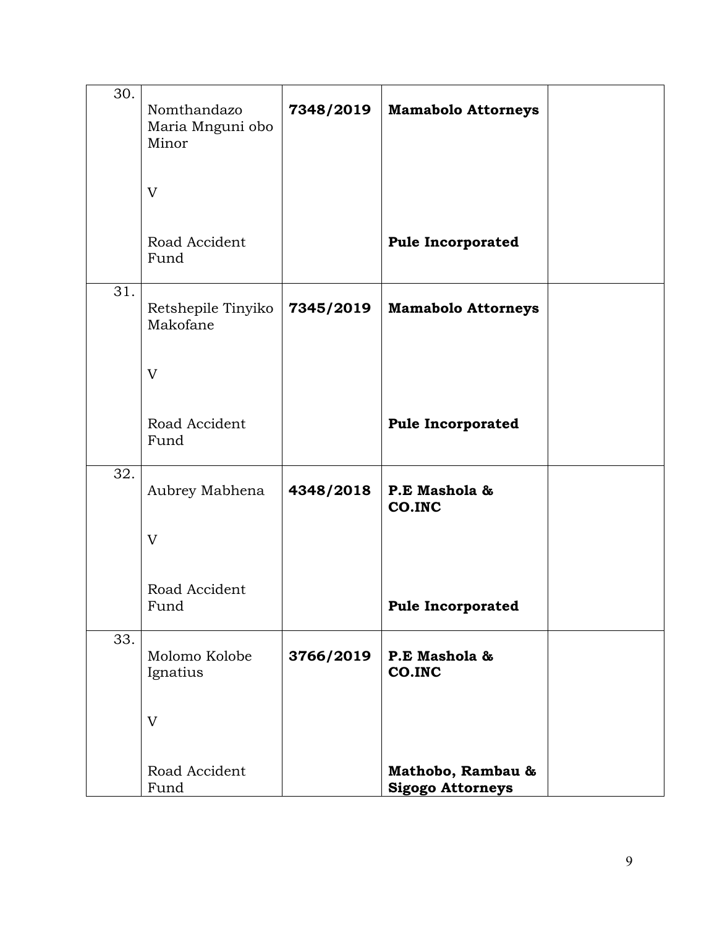| 30. | Nomthandazo<br>Maria Mnguni obo<br>Minor | 7348/2019 | <b>Mamabolo Attorneys</b>                    |  |
|-----|------------------------------------------|-----------|----------------------------------------------|--|
|     | V                                        |           |                                              |  |
|     | Road Accident<br>Fund                    |           | <b>Pule Incorporated</b>                     |  |
| 31. | Retshepile Tinyiko<br>Makofane           | 7345/2019 | <b>Mamabolo Attorneys</b>                    |  |
|     | V                                        |           |                                              |  |
|     | Road Accident<br>Fund                    |           | <b>Pule Incorporated</b>                     |  |
| 32. | Aubrey Mabhena                           | 4348/2018 | P.E Mashola &<br>CO.INC                      |  |
|     | V                                        |           |                                              |  |
|     | Road Accident<br>Fund                    |           | <b>Pule Incorporated</b>                     |  |
| 33. | Molomo Kolobe<br>Ignatius                | 3766/2019 | P.E Mashola &<br>CO.INC                      |  |
|     | V                                        |           |                                              |  |
|     | Road Accident<br>Fund                    |           | Mathobo, Rambau &<br><b>Sigogo Attorneys</b> |  |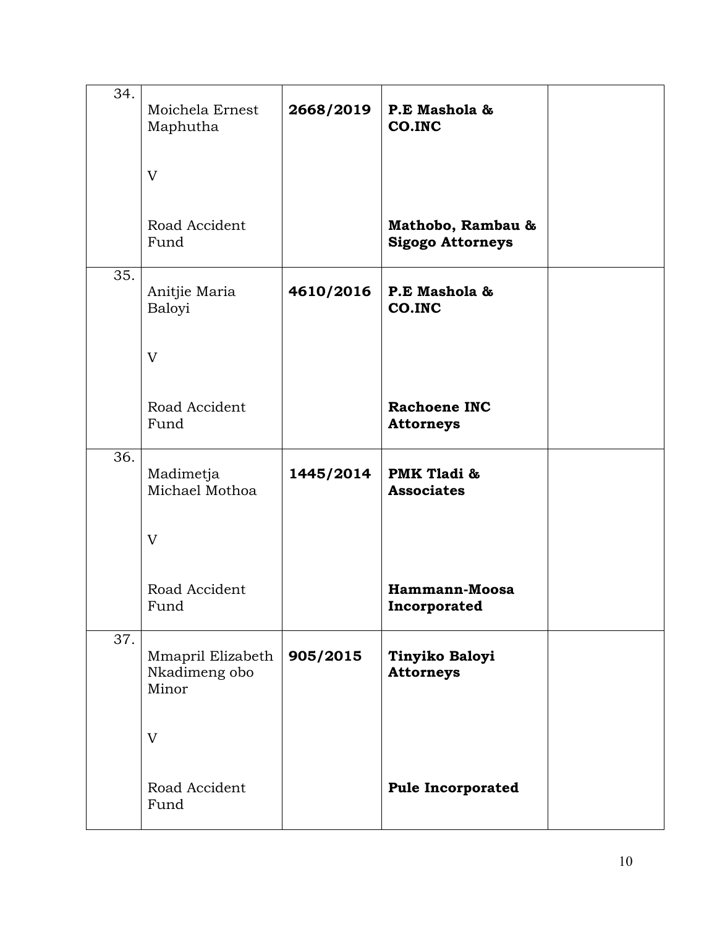| 34. | Moichela Ernest<br>Maphutha                 | 2668/2019 | P.E Mashola &<br>CO.INC                      |  |
|-----|---------------------------------------------|-----------|----------------------------------------------|--|
|     | V                                           |           |                                              |  |
|     | Road Accident<br>Fund                       |           | Mathobo, Rambau &<br><b>Sigogo Attorneys</b> |  |
| 35. | Anitjie Maria<br>Baloyi                     | 4610/2016 | P.E Mashola &<br>CO.INC                      |  |
|     | V                                           |           |                                              |  |
|     | Road Accident<br>Fund                       |           | <b>Rachoene INC</b><br><b>Attorneys</b>      |  |
| 36. | Madimetja<br>Michael Mothoa                 | 1445/2014 | PMK Tladi &<br><b>Associates</b>             |  |
|     | V                                           |           |                                              |  |
|     | Road Accident<br>Fund                       |           | Hammann-Moosa<br>Incorporated                |  |
| 37. | Mmapril Elizabeth<br>Nkadimeng obo<br>Minor | 905/2015  | Tinyiko Baloyi<br><b>Attorneys</b>           |  |
|     | V                                           |           |                                              |  |
|     | Road Accident<br>Fund                       |           | <b>Pule Incorporated</b>                     |  |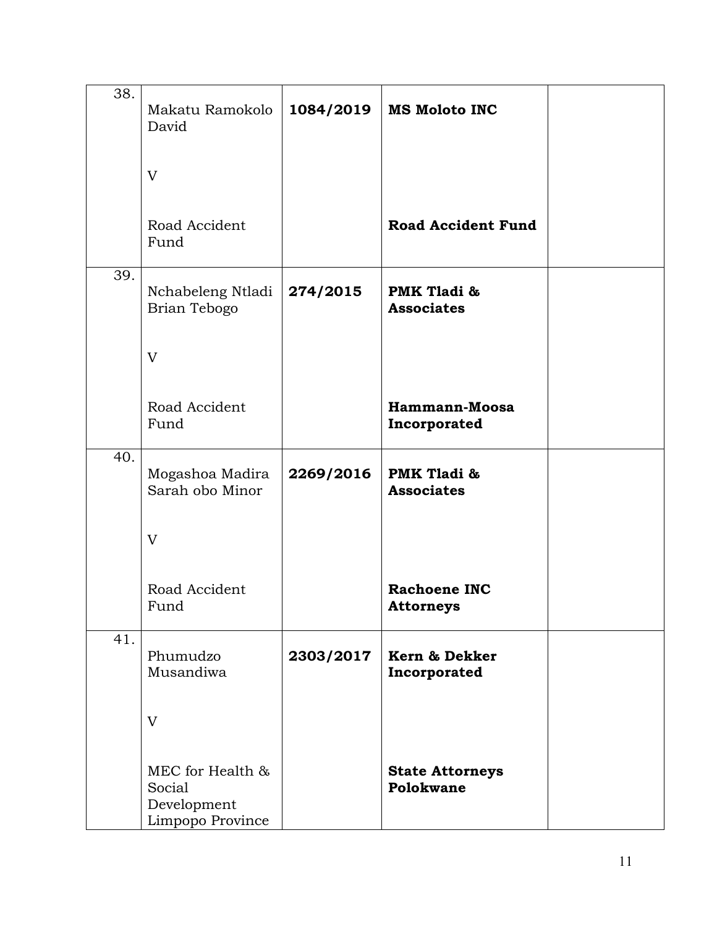| 38. | Makatu Ramokolo<br>David                                      | 1084/2019 | <b>MS Moloto INC</b>                    |  |
|-----|---------------------------------------------------------------|-----------|-----------------------------------------|--|
|     | V                                                             |           |                                         |  |
|     | Road Accident<br>Fund                                         |           | <b>Road Accident Fund</b>               |  |
| 39. | Nchabeleng Ntladi<br>Brian Tebogo                             | 274/2015  | PMK Tladi &<br><b>Associates</b>        |  |
|     | V                                                             |           |                                         |  |
|     | Road Accident<br>Fund                                         |           | Hammann-Moosa<br>Incorporated           |  |
| 40. | Mogashoa Madira<br>Sarah obo Minor                            | 2269/2016 | PMK Tladi &<br><b>Associates</b>        |  |
|     | V                                                             |           |                                         |  |
|     | Road Accident<br>Fund                                         |           | <b>Rachoene INC</b><br><b>Attorneys</b> |  |
| 41. | Phumudzo<br>Musandiwa                                         | 2303/2017 | Kern & Dekker<br>Incorporated           |  |
|     | V                                                             |           |                                         |  |
|     | MEC for Health &<br>Social<br>Development<br>Limpopo Province |           | <b>State Attorneys</b><br>Polokwane     |  |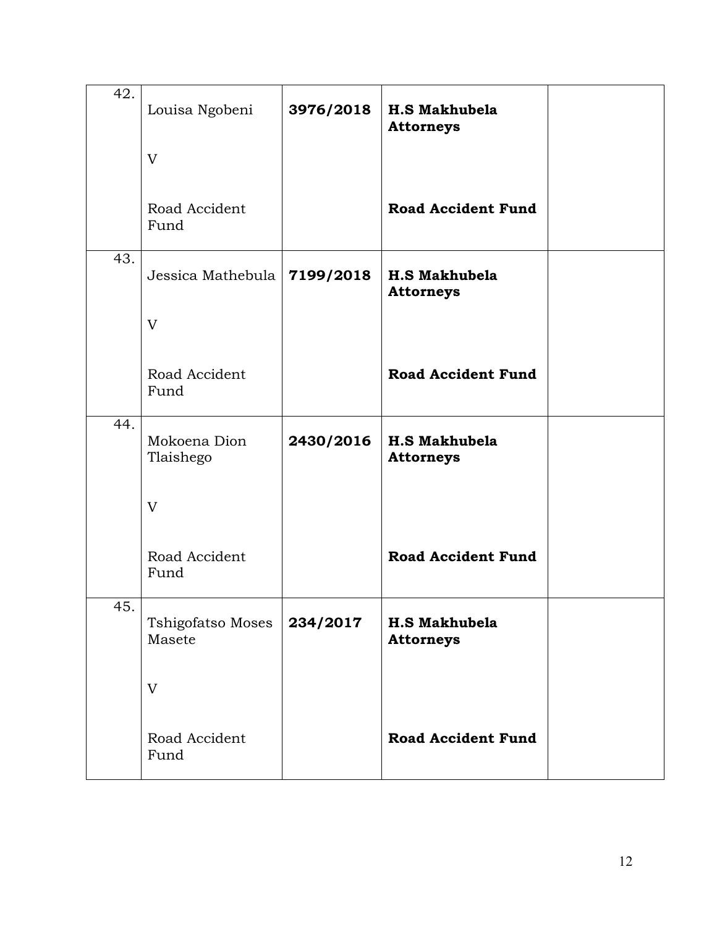| 42. | Louisa Ngobeni                | 3976/2018 | <b>H.S Makhubela</b><br><b>Attorneys</b> |  |
|-----|-------------------------------|-----------|------------------------------------------|--|
|     | $\rm V$                       |           |                                          |  |
|     | Road Accident<br>Fund         |           | <b>Road Accident Fund</b>                |  |
| 43. | Jessica Mathebula   7199/2018 |           | <b>H.S Makhubela</b><br><b>Attorneys</b> |  |
|     | $\mathbf{V}$                  |           |                                          |  |
|     | Road Accident<br>Fund         |           | <b>Road Accident Fund</b>                |  |
| 44. | Mokoena Dion<br>Tlaishego     | 2430/2016 | <b>H.S Makhubela</b><br><b>Attorneys</b> |  |
|     | $\rm V$                       |           |                                          |  |
|     | Road Accident<br>Fund         |           | <b>Road Accident Fund</b>                |  |
| 45. | Tshigofatso Moses<br>Masete   | 234/2017  | <b>H.S Makhubela</b><br><b>Attorneys</b> |  |
|     | V                             |           |                                          |  |
|     | Road Accident<br>Fund         |           | <b>Road Accident Fund</b>                |  |